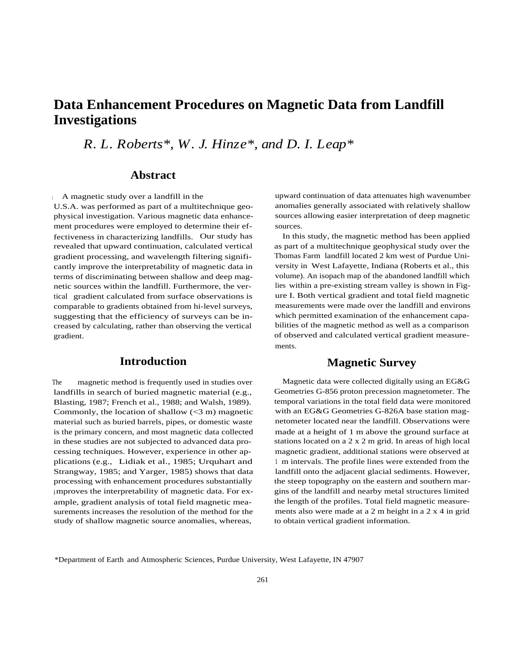# **Data Enhancement Procedures on Magnetic Data from Landfill Investigations**

*R. L. Roberts\*, W. J. Hinze\*, and D. I. Leap\**

#### **Abstract**

 $\mathbf A$  magnetic study over a landfill in the

U.S.A. was performed as part of a multitechnique geophysical investigation. Various magnetic data enhancement procedures were employed to determine their effectiveness in characterizing landfills. Our study has revealed that upward continuation, calculated vertical gradient processing, and wavelength filtering significantly improve the interpretability of magnetic data in terms of discriminating between shallow and deep magnetic sources within the landfill. Furthermore, the vertical gradient calculated from surface observations is comparable to gradients obtained from hi-level surveys, suggesting that the efficiency of surveys can be increased by calculating, rather than observing the vertical gradient.

## **Introduction**

The magnetic method is frequently used in studies over landfills in search of buried magnetic material (e.g., Blasting, 1987; French et al., 1988; and Walsh, 1989). Commonly, the location of shallow  $( $3 \text{ m}$ )$  magnetic material such as buried barrels, pipes, or domestic waste is the primary concern, and most magnetic data collected in these studies are not subjected to advanced data processing techniques. However, experience in other applications (e.g., Lidiak et al., 1985; Urquhart and Strangway, 1985; and Yarger, 1985) shows that data processing with enhancement procedures substantially improves the interpretability of magnetic data. For example, gradient analysis of total field magnetic measurements increases the resolution of the method for the study of shallow magnetic source anomalies, whereas,

upward continuation of data attenuates high wavenumber anomalies generally associated with relatively shallow sources allowing easier interpretation of deep magnetic sources.

In this study, the magnetic method has been applied as part of a multitechnique geophysical study over the Thomas Farm landfill located 2 km west of Purdue University in West Lafayette, Indiana (Roberts et al., this volume). An isopach map of the abandoned landfill which lies within a pre-existing stream valley is shown in Figure I. Both vertical gradient and total field magnetic measurements were made over the landfill and environs which permitted examination of the enhancement capabilities of the magnetic method as well as a comparison of observed and calculated vertical gradient measurements.

## **Magnetic Survey**

Magnetic data were collected digitally using an EG&G Geometries G-856 proton precession magnetometer. The temporal variations in the total field data were monitored with an EG&G Geometries G-826A base station magnetometer located near the landfill. Observations were made at a height of 1 m above the ground surface at stations located on a 2 x 2 m grid. In areas of high local magnetic gradient, additional stations were observed at <sup>1</sup> m intervals. The profile lines were extended from the landfill onto the adjacent glacial sediments. However, the steep topography on the eastern and southern margins of the landfill and nearby metal structures limited the length of the profiles. Total field magnetic measurements also were made at a 2 m height in a 2 x 4 in grid to obtain vertical gradient information.

\*Department of Earth and Atmospheric Sciences, Purdue University, West Lafayette, IN 47907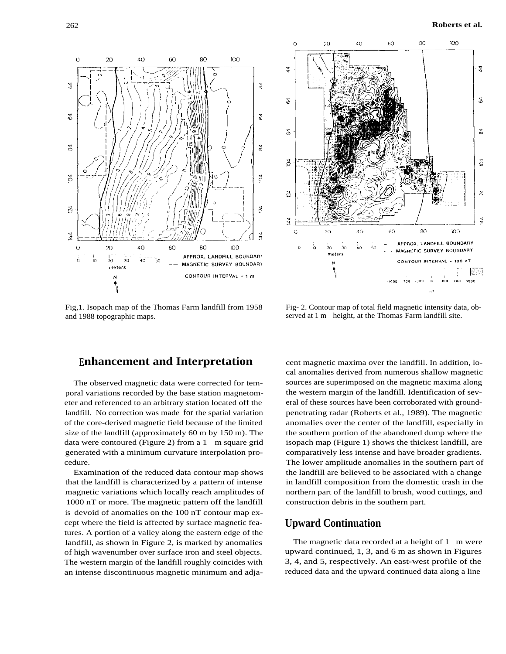



Fig,1. Isopach map of the Thomas Farm landfill from 1958 and 1988 topographic maps.

Fig- 2. Contour map of total field magnetic intensity data, observed at 1 m height, at the Thomas Farm landfill site.

#### **Enhancement and Interpretation**

The observed magnetic data were corrected for temporal variations recorded by the base station magnetometer and referenced to an arbitrary station located off the landfill. No correction was made for the spatial variation of the core-derived magnetic field because of the limited size of the landfill (approximately 60 m by 150 m). The data were contoured (Figure 2) from a 1 m square grid generated with a minimum curvature interpolation procedure.

Examination of the reduced data contour map shows that the landfill is characterized by a pattern of intense magnetic variations which locally reach amplitudes of 1000 nT or more. The magnetic pattern off the landfill is devoid of anomalies on the 100 nT contour map except where the field is affected by surface magnetic features. A portion of a valley along the eastern edge of the landfill, as shown in Figure 2, is marked by anomalies of high wavenumber over surface iron and steel objects. The western margin of the landfill roughly coincides with an intense discontinuous magnetic minimum and adjacent magnetic maxima over the landfill. In addition, local anomalies derived from numerous shallow magnetic sources are superimposed on the magnetic maxima along the western margin of the landfill. Identification of several of these sources have been corroborated with groundpenetrating radar (Roberts et al., 1989). The magnetic anomalies over the center of the landfill, especially in the southern portion of the abandoned dump where the isopach map (Figure 1) shows the thickest landfill, are comparatively less intense and have broader gradients. The lower amplitude anomalies in the southern part of the landfill are believed to be associated with a change in landfill composition from the domestic trash in the northern part of the landfill to brush, wood cuttings, and construction debris in the southern part.

#### **Upward Continuation**

The magnetic data recorded at a height of 1 m were upward continued, 1, 3, and 6 m as shown in Figures 3, 4, and 5, respectively. An east-west profile of the reduced data and the upward continued data along a line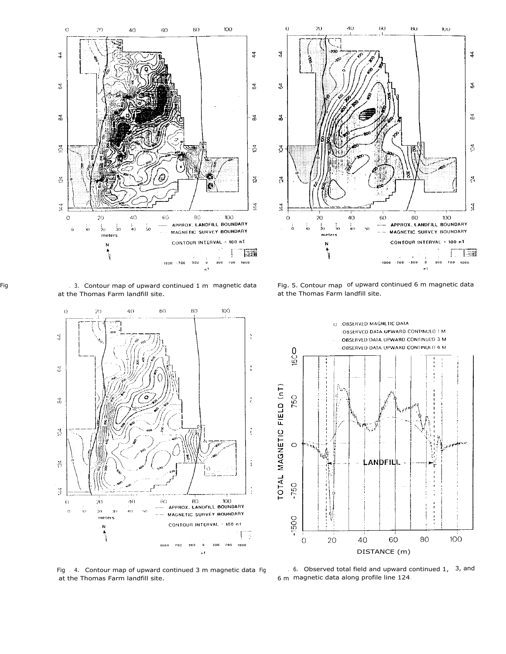

at the Thomas Farm landfill site.





Fig . 3. Contour map of upward continued 1 m magnetic data Fig. 5. Contour map of upward continued 6 m magnetic data<br>at the Thomas Farm landfill site. at the Thomas Farm landfill site.



at the Thomas Farm landfill site.  $\frac{6}{12}$  m magnetic data along profile line 124.

Fig . 4. Contour map of upward continued 3 m magnetic data Fig . 6. Observed total field and upward continued 1, 3, and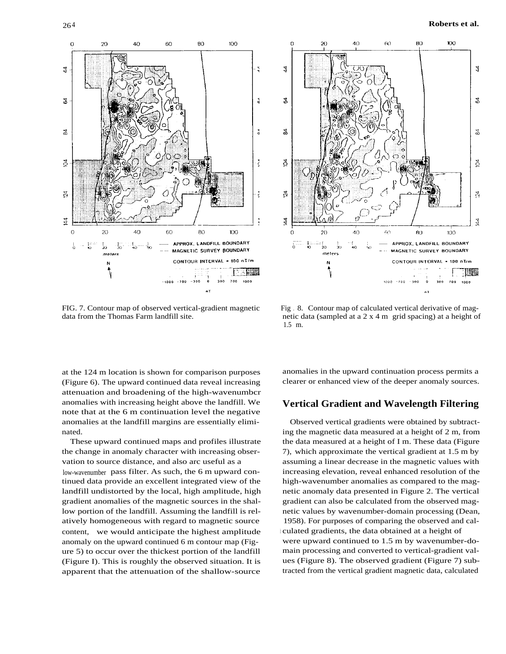

FIG. 7. Contour map of observed vertical-gradient magnetic data from the Thomas Farm landfill site.



 $\overline{20}$ 

40

Fig . 8. Contour map of calculated vertical derivative of magnetic data (sampled at a 2 x 4 m grid spacing) at a height of 1.5 m.

at the 124 m location is shown for comparison purposes (Figure 6). The upward continued data reveal increasing attenuation and broadening of the high-wavenumbcr anomalies with increasing height above the landfill. We note that at the 6 m continuation level the negative anomalies at the landfill margins are essentially eliminated.

These upward continued maps and profiles illustrate the change in anomaly character with increasing observation to source distance, and also arc useful as a low-wavenumber pass filter. As such, the 6 m upward continued data provide an excellent integrated view of the landfill undistorted by the local, high amplitude, high gradient anomalies of the magnetic sources in the shallow portion of the landfill. Assuming the landfill is relatively homogeneous with regard to magnetic source content, we would anticipate the highest amplitude anomaly on the upward continued 6 m contour map (Figure 5) to occur over the thickest portion of the landfill (Figure I). This is roughly the observed situation. It is apparent that the attenuation of the shallow-source anomalies in the upward continuation process permits a clearer or enhanced view of the deeper anomaly sources.

#### **Vertical Gradient and Wavelength Filtering**

Observed vertical gradients were obtained by subtracting the magnetic data measured at a height of 2 m, from the data measured at a height of I m. These data (Figure 7), which approximate the vertical gradient at 1.5 m by assuming a linear decrease in the magnetic values with increasing elevation, reveal enhanced resolution of the high-wavenumber anomalies as compared to the magnetic anomaly data presented in Figure 2. The vertical gradient can also be calculated from the observed magnetic values by wavenumber-domain processing (Dean, 1958). For purposes of comparing the observed and calculated gradients, the data obtained at a height of

were upward continued to 1.5 m by wavenumber-domain processing and converted to vertical-gradient values (Figure 8). The observed gradient (Figure 7) subtracted from the vertical gradient magnetic data, calculated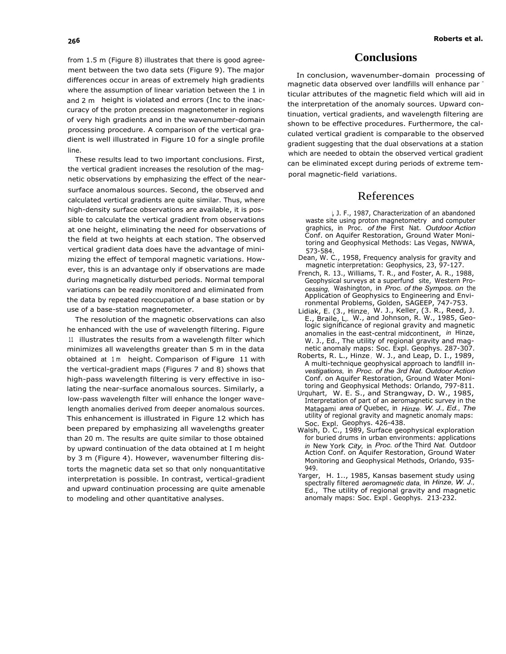from 1.5 m (Figure 8) illustrates that there is good agreement between the two data sets (Figure 9). The major differences occur in areas of extremely high gradients where the assumption of linear variation between the 1 in and 2 m height is violated and errors (Inc to the inaccuracy of the proton precession magnetometer in regions of very high gradients and in the wavenumber-domain processing procedure. A comparison of the vertical gradient is well illustrated in Figure 10 for a single profile line.

These results lead to two important conclusions. First, the vertical gradient increases the resolution of the magnetic observations by emphasizing the effect of the nearsurface anomalous sources. Second, the observed and calculated vertical gradients are quite similar. Thus, where high-density surface observations are available, it is possible to calculate the vertical gradient from observations at one height, eliminating the need for observations of the field at two heights at each station. The observed vertical gradient data does have the advantage of minimizing the effect of temporal magnetic variations. However, this is an advantage only if observations are made during magnetically disturbed periods. Normal temporal variations can be readily monitored and eliminated from the data by repeated reoccupation of a base station or by use of a base-station magnetometer.

The resolution of the magnetic observations can also he enhanced with the use of wavelength filtering. Figure <sup>11</sup> illustrates the results from a wavelength filter which minimizes all wavelengths greater than 5 m in the data obtained at 1m height. Comparison of Figure 11 with the vertical-gradient maps (Figures 7 and 8) shows that high-pass wavelength filtering is very effective in isolating the near-surface anomalous sources. Similarly, a low-pass wavelength filter will enhance the longer wavelength anomalies derived from deeper anomalous sources. This enhancement is illustrated in Figure 12 which has been prepared by emphasizing all wavelengths greater than 20 m. The results are quite similar to those obtained by upward continuation of the data obtained at I m height by 3 m (Figure 4). However, wavenumber filtering distorts the magnetic data set so that only nonquantitative interpretation is possible. In contrast, vertical-gradient and upward continuation processing are quite amenable to modeling and other quantitative analyses.

#### **Conclusions**

In conclusion, wavenumber-domain processing of magnetic data observed over landfills will enhance par ticular attributes of the magnetic field which will aid in the interpretation of the anomaly sources. Upward continuation, vertical gradients, and wavelength filtering are shown to be effective procedures. Furthermore, the calculated vertical gradient is comparable to the observed gradient suggesting that the dual observations at a station which are needed to obtain the observed vertical gradient can be eliminated except during periods of extreme temporal magnetic-field variations.

### References

- $\frac{1}{2}$  J. F., 1987, Characterization of an abandoned waste site using proton magnetometry and computer graphics, in Proc. *of the* First Nat. *Outdoor Action* Conf. on Aquifer Restoration, Ground Water Monitoring and Geophysical Methods: Las Vegas, NWWA, 573-584.
- Dean, W. C., 1958, Frequency analysis for gravity and magnetic interpretation: Geophysics, 23, 97-127.
- French, R. 13., Williams, T. R., and Foster, A. R., 1988, Geophysical surveys at a superfund site, Western Pro*cessing,* Washington, in *Proc. of the Sympos. on* the Application of Geophysics to Engineering and Environmental Problems, Golden, SAGEEP, 747-753.
- Lidiak, E. (3., Hinze, W. J., Keller, (3. R., Reed, J. E., Braile, L,. W., and Johnson, R. W., 1985, Geo-logic significance of regional gravity and magnetic anomalies in the east-central midcontinent, *in* Hinze, W. J., Ed., The utility of regional gravity and magnetic anomaly maps: Soc. Expl. Geophys. 287-307.
- Roberts, R. L., Hinze , W. J., and Leap, D. I., 1989, A multi-technique geophysical approach to landfill in*vestigations,* in *Proc. of the 3rd Nat. Outdoor Action* Conf. on Aquifer Restoration, Ground Water Monitoring and Geophysical Methods: Orlando, 797-811.
- Urquhart, W. E. S., and Strangway, D. W., 1985, Interpretation of part of an aeromagnetic survey in the Matagami *area of* Quebec, in *Hinze, W. J., Ed., The* utility of regional gravity and magnetic anomaly maps: Soc. Expl. Geophys. 426-438.
- Walsh, D. C., 1989, Surface geophysical exploration for buried drums in urban environments: applications *in* New York *City,* in *Proc. of* the Third *Nat.* Outdoor Action Conf. on Aquifer Restoration, Ground Water Monitoring and Geophysical Methods, Orlando, 935- 949.
- Yarger, H. 1.., 1985, Kansas basement study using spectrally filtered *aeromagnetic data,* in *Hinze, W. J.,* Ed., The utility of regional gravity and magnetic anomaly maps: Soc. Expl . Geophys. 213-232.